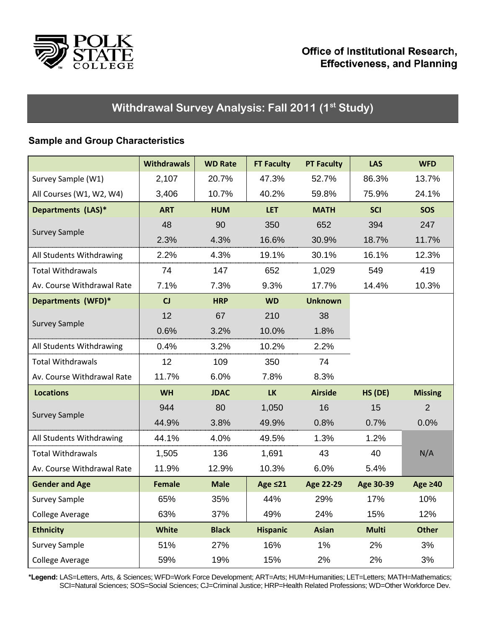

# Withdrawal Survey Analysis: Fall 2011 (1<sup>st</sup> Study)

### **Sample and Group Characteristics**

|                            | <b>Withdrawals</b> | <b>WD Rate</b> | <b>FT Faculty</b> | <b>PT Faculty</b> | <b>LAS</b>   | <b>WFD</b>     |
|----------------------------|--------------------|----------------|-------------------|-------------------|--------------|----------------|
| Survey Sample (W1)         | 2,107              | 20.7%          | 47.3%             | 52.7%             | 86.3%        | 13.7%          |
| All Courses (W1, W2, W4)   | 3,406              | 10.7%          | 40.2%             | 59.8%             | 75.9%        | 24.1%          |
| Departments (LAS)*         | <b>ART</b>         | <b>HUM</b>     | <b>LET</b>        | <b>MATH</b>       | <b>SCI</b>   | <b>SOS</b>     |
| <b>Survey Sample</b>       | 48                 | 90             | 350               | 652               | 394          | 247            |
|                            | 2.3%               | 4.3%           | 16.6%             | 30.9%             | 18.7%        | 11.7%          |
| All Students Withdrawing   | 2.2%               | 4.3%           | 19.1%             | 30.1%             | 16.1%        | 12.3%          |
| <b>Total Withdrawals</b>   | 74                 | 147            | 652               | 1,029             | 549          | 419            |
| Av. Course Withdrawal Rate | 7.1%               | 7.3%           | 9.3%              | 17.7%             | 14.4%        | 10.3%          |
| Departments (WFD)*         | CJ                 | <b>HRP</b>     | <b>WD</b>         | <b>Unknown</b>    |              |                |
|                            | 12                 | 67             | 210               | 38                |              |                |
| <b>Survey Sample</b>       | 0.6%               | 3.2%           | 10.0%             | 1.8%              |              |                |
| All Students Withdrawing   | 0.4%               | 3.2%           | 10.2%             | 2.2%              |              |                |
| <b>Total Withdrawals</b>   | 12                 | 109            | 350               | 74                |              |                |
| Av. Course Withdrawal Rate | 11.7%              | 6.0%           | 7.8%              | 8.3%              |              |                |
| <b>Locations</b>           | <b>WH</b>          | <b>JDAC</b>    | <b>LK</b>         | <b>Airside</b>    | HS (DE)      | <b>Missing</b> |
| <b>Survey Sample</b>       | 944                | 80             | 1,050             | 16                | 15           | $\overline{2}$ |
|                            | 44.9%              | 3.8%           | 49.9%             | 0.8%              | 0.7%         | 0.0%           |
| All Students Withdrawing   | 44.1%              | 4.0%           | 49.5%             | 1.3%              | 1.2%         |                |
| <b>Total Withdrawals</b>   | 1,505              | 136            | 1,691             | 43                | 40           | N/A            |
| Av. Course Withdrawal Rate | 11.9%              | 12.9%          | 10.3%             | 6.0%              | 5.4%         |                |
| <b>Gender and Age</b>      | <b>Female</b>      | <b>Male</b>    | Age $\leq 21$     | Age 22-29         | Age 30-39    | Age $\geq 40$  |
| <b>Survey Sample</b>       | 65%                | 35%            | 44%               | 29%               | 17%          | 10%            |
| <b>College Average</b>     | 63%                | 37%            | 49%               | 24%               | 15%          | 12%            |
| <b>Ethnicity</b>           | <b>White</b>       | <b>Black</b>   | <b>Hispanic</b>   | <b>Asian</b>      | <b>Multi</b> | <b>Other</b>   |
| <b>Survey Sample</b>       | 51%                | 27%            | 16%               | 1%                | 2%           | 3%             |
| <b>College Average</b>     | 59%                | 19%            | 15%               | 2%                | 2%           | 3%             |

**\*Legend:** LAS=Letters, Arts, & Sciences; WFD=Work Force Development; ART=Arts; HUM=Humanities; LET=Letters; MATH=Mathematics; SCI=Natural Sciences; SOS=Social Sciences; CJ=Criminal Justice; HRP=Health Related Professions; WD=Other Workforce Dev.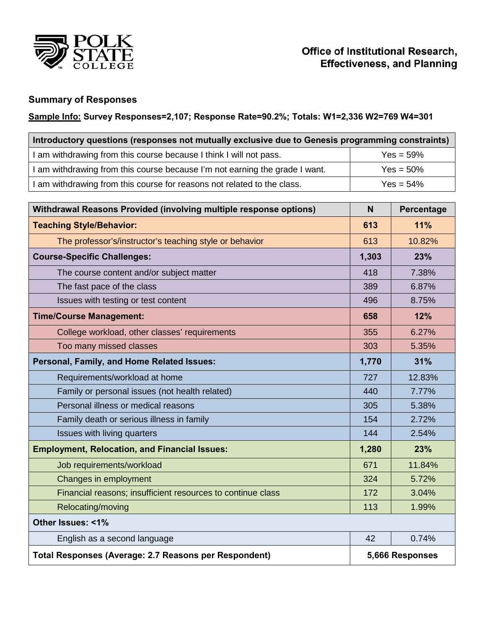

### **Summary of Responses**

### **Sample Info: Survey Responses=2,107; Response Rate=90.2%; Totals: W1=2,336 W2=769 W4=301**

| Introductory questions (responses not mutually exclusive due to Genesis programming constraints) |              |  |  |  |  |  |  |
|--------------------------------------------------------------------------------------------------|--------------|--|--|--|--|--|--|
| I am withdrawing from this course because I think I will not pass.                               | $Yes = 59%$  |  |  |  |  |  |  |
| I am withdrawing from this course because I'm not earning the grade I want.                      | $Yes = 50%$  |  |  |  |  |  |  |
| I am withdrawing from this course for reasons not related to the class.                          | $Yes = 54\%$ |  |  |  |  |  |  |

| Withdrawal Reasons Provided (involving multiple response options) | N               | Percentage |  |
|-------------------------------------------------------------------|-----------------|------------|--|
| <b>Teaching Style/Behavior:</b>                                   | 613             | 11%        |  |
| The professor's/instructor's teaching style or behavior           | 613             | 10.82%     |  |
| <b>Course-Specific Challenges:</b>                                | 1,303           | 23%        |  |
| The course content and/or subject matter                          | 418             | 7.38%      |  |
| The fast pace of the class                                        | 389             | 6.87%      |  |
| Issues with testing or test content                               | 496             | 8.75%      |  |
| <b>Time/Course Management:</b>                                    | 658             | 12%        |  |
| College workload, other classes' requirements                     | 355             | 6.27%      |  |
| Too many missed classes                                           | 303             | 5.35%      |  |
| Personal, Family, and Home Related Issues:                        | 1,770           | 31%        |  |
| Requirements/workload at home                                     | 727             | 12.83%     |  |
| Family or personal issues (not health related)                    | 440             | 7.77%      |  |
| Personal illness or medical reasons                               | 305             | 5.38%      |  |
| Family death or serious illness in family                         | 154             | 2.72%      |  |
| Issues with living quarters                                       | 144             | 2.54%      |  |
| <b>Employment, Relocation, and Financial Issues:</b>              | 1,280           | 23%        |  |
| Job requirements/workload                                         | 671             | 11.84%     |  |
| Changes in employment                                             | 324             | 5.72%      |  |
| Financial reasons; insufficient resources to continue class       | 172             | 3.04%      |  |
| Relocating/moving                                                 | 113             | 1.99%      |  |
| Other Issues: <1%                                                 |                 |            |  |
| English as a second language                                      | 42              | 0.74%      |  |
| Total Responses (Average: 2.7 Reasons per Respondent)             | 5,666 Responses |            |  |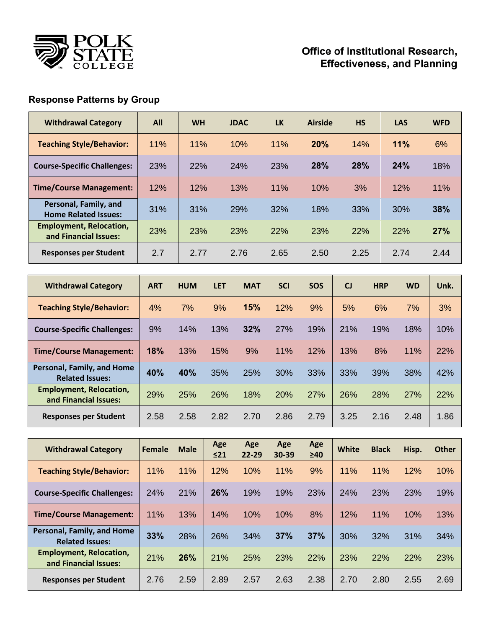

## **Response Patterns by Group**

| <b>Withdrawal Category</b>                              | All | <b>WH</b> | <b>JDAC</b> | <b>LK</b> | <b>Airside</b> | <b>HS</b>  | <b>LAS</b> | <b>WFD</b> |
|---------------------------------------------------------|-----|-----------|-------------|-----------|----------------|------------|------------|------------|
| <b>Teaching Style/Behavior:</b>                         | 11% | 11%       | 10%         | 11%       | 20%            | 14%        | 11%        | 6%         |
| <b>Course-Specific Challenges:</b>                      | 23% | 22%       | 24%         | 23%       | 28%            | <b>28%</b> | 24%        | 18%        |
| <b>Time/Course Management:</b>                          | 12% | 12%       | 13%         | 11%       | 10%            | 3%         | 12%        | 11%        |
| Personal, Family, and<br><b>Home Related Issues:</b>    | 31% | 31%       | 29%         | 32%       | 18%            | 33%        | 30%        | 38%        |
| <b>Employment, Relocation,</b><br>and Financial Issues: | 23% | 23%       | 23%         | 22%       | 23%            | 22%        | 22%        | 27%        |
| <b>Responses per Student</b>                            | 2.7 | 2.77      | 2.76        | 2.65      | 2.50           | 2.25       | 2.74       | 2.44       |

| <b>Withdrawal Category</b>                              | <b>ART</b> | <b>HUM</b> | <b>LET</b> | <b>MAT</b> | <b>SCI</b> | <b>SOS</b> | $C_{1}$ | <b>HRP</b> | <b>WD</b> | Unk. |
|---------------------------------------------------------|------------|------------|------------|------------|------------|------------|---------|------------|-----------|------|
| <b>Teaching Style/Behavior:</b>                         | 4%         | 7%         | 9%         | 15%        | 12%        | 9%         | 5%      | 6%         | 7%        | 3%   |
| <b>Course-Specific Challenges:</b>                      | 9%         | 14%        | 13%        | 32%        | 27%        | 19%        | 21%     | 19%        | 18%       | 10%  |
| <b>Time/Course Management:</b>                          | 18%        | 13%        | 15%        | 9%         | 11%        | 12%        | 13%     | 8%         | 11%       | 22%  |
| Personal, Family, and Home<br><b>Related Issues:</b>    | 40%        | 40%        | 35%        | 25%        | 30%        | 33%        | 33%     | 39%        | 38%       | 42%  |
| <b>Employment, Relocation,</b><br>and Financial Issues: | 29%        | 25%        | 26%        | 18%        | 20%        | 27%        | 26%     | 28%        | 27%       | 22%  |
| <b>Responses per Student</b>                            | 2.58       | 2.58       | 2.82       | 2.70       | 2.86       | 2.79       | 3.25    | 2.16       | 2.48      | 1.86 |

| <b>Withdrawal Category</b>                              | <b>Female</b> | <b>Male</b> | Age<br>$\leq$ 21 | Age<br>$22 - 29$ | Age<br>30-39 | Age<br>$\geq 40$ | White | <b>Black</b> | Hisp. | <b>Other</b> |
|---------------------------------------------------------|---------------|-------------|------------------|------------------|--------------|------------------|-------|--------------|-------|--------------|
| <b>Teaching Style/Behavior:</b>                         | 11%           | 11%         | 12%              | 10%              | 11%          | 9%               | 11%   | 11%          | 12%   | 10%          |
| <b>Course-Specific Challenges:</b>                      | 24%           | 21%         | 26%              | 19%              | 19%          | 23%              | 24%   | 23%          | 23%   | 19%          |
| <b>Time/Course Management:</b>                          | 11%           | 13%         | 14%              | 10%              | 10%          | 8%               | 12%   | 11%          | 10%   | 13%          |
| Personal, Family, and Home<br><b>Related Issues:</b>    | 33%           | 28%         | 26%              | 34%              | 37%          | 37%              | 30%   | 32%          | 31%   | 34%          |
| <b>Employment, Relocation,</b><br>and Financial Issues: | 21%           | 26%         | 21%              | 25%              | 23%          | 22%              | 23%   | 22%          | 22%   | 23%          |
| Responses per Student                                   | 2.76          | 2.59        | 2.89             | 2.57             | 2.63         | 2.38             | 2.70  | 2.80         | 2.55  | 2.69         |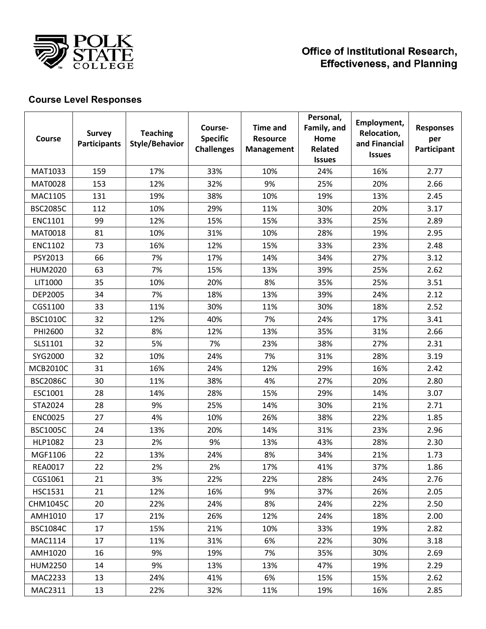

## **Course Level Responses**

| Course          | <b>Survey</b><br><b>Participants</b> | <b>Teaching</b><br><b>Style/Behavior</b> | Course-<br><b>Specific</b><br><b>Challenges</b> | <b>Time and</b><br><b>Resource</b><br><b>Management</b> | Personal,<br>Family, and<br>Home<br><b>Related</b><br><b>Issues</b> | Employment,<br>Relocation,<br>and Financial<br><b>Issues</b> | <b>Responses</b><br>per<br>Participant |
|-----------------|--------------------------------------|------------------------------------------|-------------------------------------------------|---------------------------------------------------------|---------------------------------------------------------------------|--------------------------------------------------------------|----------------------------------------|
| MAT1033         | 159                                  | 17%                                      | 33%                                             | 10%                                                     | 24%                                                                 | 16%                                                          | 2.77                                   |
| <b>MAT0028</b>  | 153                                  | 12%                                      | 32%                                             | 9%                                                      | 25%                                                                 | 20%                                                          | 2.66                                   |
| MAC1105         | 131                                  | 19%                                      | 38%                                             | 10%                                                     | 19%                                                                 | 13%                                                          | 2.45                                   |
| <b>BSC2085C</b> | 112                                  | 10%                                      | 29%                                             | 11%                                                     | 30%                                                                 | 20%                                                          | 3.17                                   |
| <b>ENC1101</b>  | 99                                   | 12%                                      | 15%                                             | 15%                                                     | 33%                                                                 | 25%                                                          | 2.89                                   |
| MAT0018         | 81                                   | 10%                                      | 31%                                             | 10%                                                     | 28%                                                                 | 19%                                                          | 2.95                                   |
| <b>ENC1102</b>  | 73                                   | 16%                                      | 12%                                             | 15%                                                     | 33%                                                                 | 23%                                                          | 2.48                                   |
| PSY2013         | 66                                   | 7%                                       | 17%                                             | 14%                                                     | 34%                                                                 | 27%                                                          | 3.12                                   |
| <b>HUM2020</b>  | 63                                   | 7%                                       | 15%                                             | 13%                                                     | 39%                                                                 | 25%                                                          | 2.62                                   |
| LIT1000         | 35                                   | 10%                                      | 20%                                             | 8%                                                      | 35%                                                                 | 25%                                                          | 3.51                                   |
| <b>DEP2005</b>  | 34                                   | 7%                                       | 18%                                             | 13%                                                     | 39%                                                                 | 24%                                                          | 2.12                                   |
| CGS1100         | 33                                   | 11%                                      | 30%                                             | 11%                                                     | 30%                                                                 | 18%                                                          | 2.52                                   |
| <b>BSC1010C</b> | 32                                   | 12%                                      | 40%                                             | 7%                                                      | 24%                                                                 | 17%                                                          | 3.41                                   |
| PHI2600         | 32                                   | 8%                                       | 12%                                             | 13%                                                     | 35%                                                                 | 31%                                                          | 2.66                                   |
| SLS1101         | 32                                   | 5%                                       | 7%                                              | 23%                                                     | 38%                                                                 | 27%                                                          | 2.31                                   |
| SYG2000         | 32                                   | 10%                                      | 24%                                             | 7%                                                      | 31%                                                                 | 28%                                                          | 3.19                                   |
| <b>MCB2010C</b> | 31                                   | 16%                                      | 24%                                             | 12%                                                     | 29%                                                                 | 16%                                                          | 2.42                                   |
| <b>BSC2086C</b> | 30                                   | 11%                                      | 38%                                             | 4%                                                      | 27%                                                                 | 20%                                                          | 2.80                                   |
| ESC1001         | 28                                   | 14%                                      | 28%                                             | 15%                                                     | 29%                                                                 | 14%                                                          | 3.07                                   |
| STA2024         | 28                                   | 9%                                       | 25%                                             | 14%                                                     | 30%                                                                 | 21%                                                          | 2.71                                   |
| <b>ENC0025</b>  | 27                                   | 4%                                       | 10%                                             | 26%                                                     | 38%                                                                 | 22%                                                          | 1.85                                   |
| <b>BSC1005C</b> | 24                                   | 13%                                      | 20%                                             | 14%                                                     | 31%                                                                 | 23%                                                          | 2.96                                   |
| <b>HLP1082</b>  | 23                                   | 2%                                       | 9%                                              | 13%                                                     | 43%                                                                 | 28%                                                          | 2.30                                   |
| MGF1106         | 22                                   | 13%                                      | 24%                                             | 8%                                                      | 34%                                                                 | 21%                                                          | 1.73                                   |
| <b>REA0017</b>  | 22                                   | 2%                                       | 2%                                              | 17%                                                     | 41%                                                                 | 37%                                                          | 1.86                                   |
| CGS1061         | 21                                   | 3%                                       | 22%                                             | 22%                                                     | 28%                                                                 | 24%                                                          | 2.76                                   |
| <b>HSC1531</b>  | 21                                   | 12%                                      | 16%                                             | 9%                                                      | 37%                                                                 | 26%                                                          | 2.05                                   |
| <b>CHM1045C</b> | 20                                   | 22%                                      | 24%                                             | 8%                                                      | 24%                                                                 | 22%                                                          | 2.50                                   |
| AMH1010         | 17                                   | 21%                                      | 26%                                             | 12%                                                     | 24%                                                                 | 18%                                                          | 2.00                                   |
| <b>BSC1084C</b> | 17                                   | 15%                                      | 21%                                             | 10%                                                     | 33%                                                                 | 19%                                                          | 2.82                                   |
| MAC1114         | 17                                   | 11%                                      | 31%                                             | 6%                                                      | 22%                                                                 | 30%                                                          | 3.18                                   |
| AMH1020         | 16                                   | 9%                                       | 19%                                             | 7%                                                      | 35%                                                                 | 30%                                                          | 2.69                                   |
| <b>HUM2250</b>  | 14                                   | 9%                                       | 13%                                             | 13%                                                     | 47%                                                                 | 19%                                                          | 2.29                                   |
| MAC2233         | 13                                   | 24%                                      | 41%                                             | 6%                                                      | 15%                                                                 | 15%                                                          | 2.62                                   |
| MAC2311         | 13                                   | 22%                                      | 32%                                             | 11%                                                     | 19%                                                                 | 16%                                                          | 2.85                                   |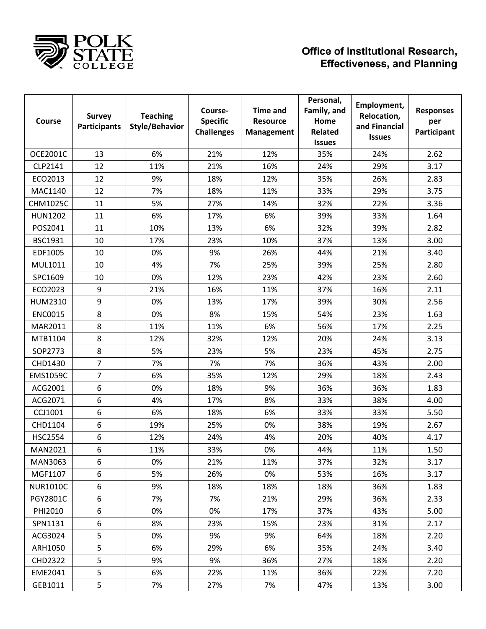

| Course          | <b>Survey</b><br><b>Participants</b> | <b>Teaching</b><br><b>Style/Behavior</b> | Course-<br><b>Specific</b><br><b>Challenges</b> | <b>Time and</b><br><b>Resource</b><br>Management | Personal,<br>Family, and<br>Home<br>Related<br><b>Issues</b> | Employment,<br>Relocation,<br>and Financial<br><b>Issues</b> | <b>Responses</b><br>per<br>Participant |
|-----------------|--------------------------------------|------------------------------------------|-------------------------------------------------|--------------------------------------------------|--------------------------------------------------------------|--------------------------------------------------------------|----------------------------------------|
| <b>OCE2001C</b> | 13                                   | 6%                                       | 21%                                             | 12%                                              | 35%                                                          | 24%                                                          | 2.62                                   |
| CLP2141         | 12                                   | 11%                                      | 21%                                             | 16%                                              | 24%                                                          | 29%                                                          | 3.17                                   |
| ECO2013         | 12                                   | 9%                                       | 18%                                             | 12%                                              | 35%                                                          | 26%                                                          | 2.83                                   |
| MAC1140         | 12                                   | 7%                                       | 18%                                             | 11%                                              | 33%                                                          | 29%                                                          | 3.75                                   |
| <b>CHM1025C</b> | 11                                   | 5%                                       | 27%                                             | 14%                                              | 32%                                                          | 22%                                                          | 3.36                                   |
| <b>HUN1202</b>  | 11                                   | 6%                                       | 17%                                             | 6%                                               | 39%                                                          | 33%                                                          | 1.64                                   |
| POS2041         | 11                                   | 10%                                      | 13%                                             | 6%                                               | 32%                                                          | 39%                                                          | 2.82                                   |
| <b>BSC1931</b>  | 10                                   | 17%                                      | 23%                                             | 10%                                              | 37%                                                          | 13%                                                          | 3.00                                   |
| EDF1005         | 10                                   | 0%                                       | 9%                                              | 26%                                              | 44%                                                          | 21%                                                          | 3.40                                   |
| MUL1011         | 10                                   | 4%                                       | 7%                                              | 25%                                              | 39%                                                          | 25%                                                          | 2.80                                   |
| SPC1609         | 10                                   | 0%                                       | 12%                                             | 23%                                              | 42%                                                          | 23%                                                          | 2.60                                   |
| ECO2023         | 9                                    | 21%                                      | 16%                                             | 11%                                              | 37%                                                          | 16%                                                          | 2.11                                   |
| HUM2310         | 9                                    | 0%                                       | 13%                                             | 17%                                              | 39%                                                          | 30%                                                          | 2.56                                   |
| <b>ENC0015</b>  | 8                                    | 0%                                       | 8%                                              | 15%                                              | 54%                                                          | 23%                                                          | 1.63                                   |
| MAR2011         | 8                                    | 11%                                      | 11%                                             | 6%                                               | 56%                                                          | 17%                                                          | 2.25                                   |
| MTB1104         | 8                                    | 12%                                      | 32%                                             | 12%                                              | 20%                                                          | 24%                                                          | 3.13                                   |
| SOP2773         | 8                                    | 5%                                       | 23%                                             | 5%                                               | 23%                                                          | 45%                                                          | 2.75                                   |
| CHD1430         | $\overline{7}$                       | 7%                                       | 7%                                              | 7%                                               | 36%                                                          | 43%                                                          | 2.00                                   |
| <b>EMS1059C</b> | $\overline{7}$                       | 6%                                       | 35%                                             | 12%                                              | 29%                                                          | 18%                                                          | 2.43                                   |
| ACG2001         | 6                                    | 0%                                       | 18%                                             | 9%                                               | 36%                                                          | 36%                                                          | 1.83                                   |
| ACG2071         | 6                                    | 4%                                       | 17%                                             | 8%                                               | 33%                                                          | 38%                                                          | 4.00                                   |
| CCJ1001         | 6                                    | 6%                                       | 18%                                             | 6%                                               | 33%                                                          | 33%                                                          | 5.50                                   |
| CHD1104         | 6                                    | 19%                                      | 25%                                             | 0%                                               | 38%                                                          | 19%                                                          | 2.67                                   |
| <b>HSC2554</b>  | 6                                    | 12%                                      | 24%                                             | 4%                                               | 20%                                                          | 40%                                                          | 4.17                                   |
| MAN2021         | 6                                    | 11%                                      | 33%                                             | 0%                                               | 44%                                                          | 11%                                                          | 1.50                                   |
| MAN3063         | 6                                    | 0%                                       | 21%                                             | 11%                                              | 37%                                                          | 32%                                                          | 3.17                                   |
| MGF1107         | 6                                    | 5%                                       | 26%                                             | 0%                                               | 53%                                                          | 16%                                                          | 3.17                                   |
| <b>NUR1010C</b> | 6                                    | 9%                                       | 18%                                             | 18%                                              | 18%                                                          | 36%                                                          | 1.83                                   |
| PGY2801C        | 6                                    | 7%                                       | 7%                                              | 21%                                              | 29%                                                          | 36%                                                          | 2.33                                   |
| PHI2010         | 6                                    | 0%                                       | 0%                                              | 17%                                              | 37%                                                          | 43%                                                          | 5.00                                   |
| SPN1131         | 6                                    | 8%                                       | 23%                                             | 15%                                              | 23%                                                          | 31%                                                          | 2.17                                   |
| ACG3024         | 5                                    | 0%                                       | 9%                                              | 9%                                               | 64%                                                          | 18%                                                          | 2.20                                   |
| ARH1050         | 5                                    | 6%                                       | 29%                                             | 6%                                               | 35%                                                          | 24%                                                          | 3.40                                   |
| <b>CHD2322</b>  | 5                                    | 9%                                       | 9%                                              | 36%                                              | 27%                                                          | 18%                                                          | 2.20                                   |
| EME2041         | 5                                    | 6%                                       | 22%                                             | 11%                                              | 36%                                                          | 22%                                                          | 7.20                                   |
| GEB1011         | 5                                    | 7%                                       | 27%                                             | 7%                                               | 47%                                                          | 13%                                                          | 3.00                                   |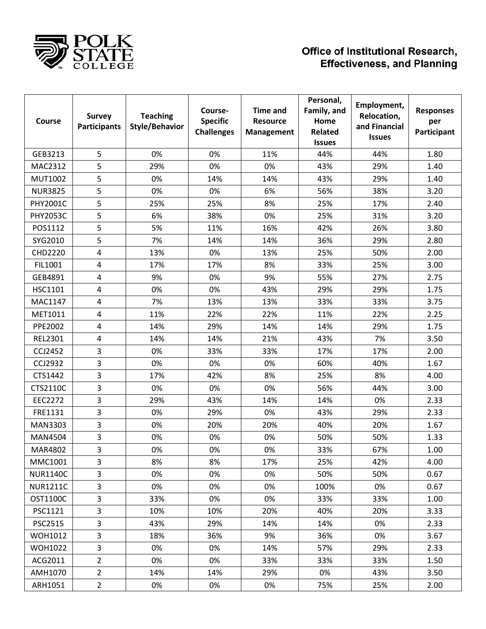

| Course          | <b>Survey</b><br><b>Participants</b> | <b>Teaching</b><br><b>Style/Behavior</b> | Course-<br><b>Specific</b><br><b>Challenges</b> | <b>Time and</b><br><b>Resource</b><br>Management | Personal,<br>Family, and<br>Home<br><b>Related</b><br><b>Issues</b> | Employment,<br>Relocation,<br>and Financial<br><b>Issues</b> | <b>Responses</b><br>per<br>Participant |
|-----------------|--------------------------------------|------------------------------------------|-------------------------------------------------|--------------------------------------------------|---------------------------------------------------------------------|--------------------------------------------------------------|----------------------------------------|
| GEB3213         | 5                                    | 0%                                       | 0%                                              | 11%                                              | 44%                                                                 | 44%                                                          | 1.80                                   |
| MAC2312         | 5                                    | 29%                                      | 0%                                              | 0%                                               | 43%                                                                 | 29%                                                          | 1.40                                   |
| <b>MUT1002</b>  | 5                                    | 0%                                       | 14%                                             | 14%                                              | 43%                                                                 | 29%                                                          | 1.40                                   |
| <b>NUR3825</b>  | 5                                    | 0%                                       | 0%                                              | 6%                                               | 56%                                                                 | 38%                                                          | 3.20                                   |
| PHY2001C        | 5                                    | 25%                                      | 25%                                             | 8%                                               | 25%                                                                 | 17%                                                          | 2.40                                   |
| <b>PHY2053C</b> | 5                                    | 6%                                       | 38%                                             | 0%                                               | 25%                                                                 | 31%                                                          | 3.20                                   |
| POS1112         | 5                                    | 5%                                       | 11%                                             | 16%                                              | 42%                                                                 | 26%                                                          | 3.80                                   |
| SYG2010         | 5                                    | 7%                                       | 14%                                             | 14%                                              | 36%                                                                 | 29%                                                          | 2.80                                   |
| <b>CHD2220</b>  | 4                                    | 13%                                      | 0%                                              | 13%                                              | 25%                                                                 | 50%                                                          | 2.00                                   |
| FIL1001         | 4                                    | 17%                                      | 17%                                             | 8%                                               | 33%                                                                 | 25%                                                          | 3.00                                   |
| GEB4891         | 4                                    | 9%                                       | 0%                                              | 9%                                               | 55%                                                                 | 27%                                                          | 2.75                                   |
| HSC1101         | 4                                    | 0%                                       | 0%                                              | 43%                                              | 29%                                                                 | 29%                                                          | 1.75                                   |
| MAC1147         | 4                                    | 7%                                       | 13%                                             | 13%                                              | 33%                                                                 | 33%                                                          | 3.75                                   |
| MET1011         | 4                                    | 11%                                      | 22%                                             | 22%                                              | 11%                                                                 | 22%                                                          | 2.25                                   |
| <b>PPE2002</b>  | 4                                    | 14%                                      | 29%                                             | 14%                                              | 14%                                                                 | 29%                                                          | 1.75                                   |
| <b>REL2301</b>  | 4                                    | 14%                                      | 14%                                             | 21%                                              | 43%                                                                 | 7%                                                           | 3.50                                   |
| CCJ2452         | 3                                    | 0%                                       | 33%                                             | 33%                                              | 17%                                                                 | 17%                                                          | 2.00                                   |
| <b>CCJ2932</b>  | 3                                    | 0%                                       | 0%                                              | 0%                                               | 60%                                                                 | 40%                                                          | 1.67                                   |
| CTS1442         | 3                                    | 17%                                      | 42%                                             | 8%                                               | 25%                                                                 | 8%                                                           | 4.00                                   |
| CTS2110C        | 3                                    | 0%                                       | 0%                                              | 0%                                               | 56%                                                                 | 44%                                                          | 3.00                                   |
| <b>EEC2272</b>  | 3                                    | 29%                                      | 43%                                             | 14%                                              | 14%                                                                 | 0%                                                           | 2.33                                   |
| FRE1131         | 3                                    | 0%                                       | 29%                                             | 0%                                               | 43%                                                                 | 29%                                                          | 2.33                                   |
| MAN3303         | 3                                    | 0%                                       | 20%                                             | 20%                                              | 40%                                                                 | 20%                                                          | 1.67                                   |
| <b>MAN4504</b>  | 3                                    | 0%                                       | 0%                                              | 0%                                               | 50%                                                                 | 50%                                                          | 1.33                                   |
| <b>MAR4802</b>  | 3                                    | 0%                                       | 0%                                              | 0%                                               | 33%                                                                 | 67%                                                          | 1.00                                   |
| MMC1001         | 3                                    | 8%                                       | 8%                                              | 17%                                              | 25%                                                                 | 42%                                                          | 4.00                                   |
| <b>NUR1140C</b> | 3                                    | 0%                                       | 0%                                              | 0%                                               | 50%                                                                 | 50%                                                          | 0.67                                   |
| <b>NUR1211C</b> | 3                                    | 0%                                       | 0%                                              | 0%                                               | 100%                                                                | 0%                                                           | 0.67                                   |
| <b>OST1100C</b> | 3                                    | 33%                                      | 0%                                              | 0%                                               | 33%                                                                 | 33%                                                          | 1.00                                   |
| PSC1121         | 3                                    | 10%                                      | 10%                                             | 20%                                              | 40%                                                                 | 20%                                                          | 3.33                                   |
| <b>PSC2515</b>  | 3                                    | 43%                                      | 29%                                             | 14%                                              | 14%                                                                 | 0%                                                           | 2.33                                   |
| <b>WOH1012</b>  | 3                                    | 18%                                      | 36%                                             | 9%                                               | 36%                                                                 | 0%                                                           | 3.67                                   |
| <b>WOH1022</b>  | 3                                    | 0%                                       | 0%                                              | 14%                                              | 57%                                                                 | 29%                                                          | 2.33                                   |
| ACG2011         | $\overline{2}$                       | 0%                                       | 0%                                              | 33%                                              | 33%                                                                 | 33%                                                          | 1.50                                   |
| AMH1070         | $\overline{2}$                       | 14%                                      | 14%                                             | 29%                                              | 0%                                                                  | 43%                                                          | 3.50                                   |
| ARH1051         | $\overline{2}$                       | 0%                                       | 0%                                              | 0%                                               | 75%                                                                 | 25%                                                          | 2.00                                   |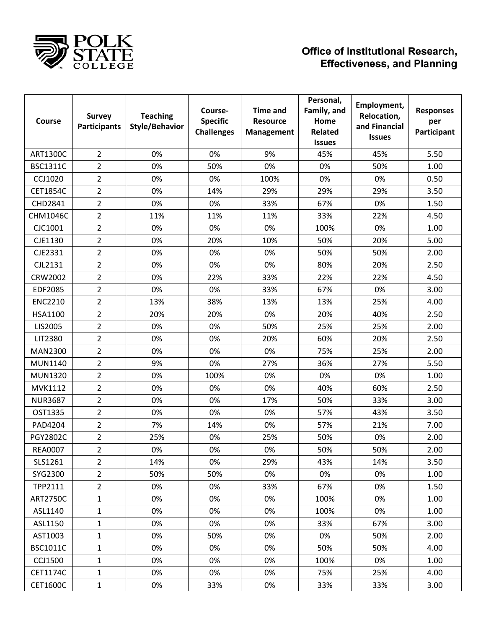

| Course          | <b>Survey</b><br><b>Participants</b> | <b>Teaching</b><br><b>Style/Behavior</b> | Course-<br><b>Specific</b><br><b>Challenges</b> | <b>Time and</b><br><b>Resource</b><br><b>Management</b> | Personal,<br>Family, and<br>Home<br><b>Related</b><br><b>Issues</b> | Employment,<br>Relocation,<br>and Financial<br><b>Issues</b> | <b>Responses</b><br>per<br>Participant |
|-----------------|--------------------------------------|------------------------------------------|-------------------------------------------------|---------------------------------------------------------|---------------------------------------------------------------------|--------------------------------------------------------------|----------------------------------------|
| <b>ART1300C</b> | $\overline{2}$                       | 0%                                       | 0%                                              | 9%                                                      | 45%                                                                 | 45%                                                          | 5.50                                   |
| <b>BSC1311C</b> | 2                                    | 0%                                       | 50%                                             | 0%                                                      | 0%                                                                  | 50%                                                          | 1.00                                   |
| <b>CCJ1020</b>  | 2                                    | 0%                                       | 0%                                              | 100%                                                    | 0%                                                                  | 0%                                                           | 0.50                                   |
| <b>CET1854C</b> | $\overline{2}$                       | 0%                                       | 14%                                             | 29%                                                     | 29%                                                                 | 29%                                                          | 3.50                                   |
| CHD2841         | $\overline{2}$                       | 0%                                       | 0%                                              | 33%                                                     | 67%                                                                 | 0%                                                           | 1.50                                   |
| <b>CHM1046C</b> | $\overline{2}$                       | 11%                                      | 11%                                             | 11%                                                     | 33%                                                                 | 22%                                                          | 4.50                                   |
| CJC1001         | $\overline{2}$                       | 0%                                       | 0%                                              | 0%                                                      | 100%                                                                | 0%                                                           | 1.00                                   |
| CJE1130         | 2                                    | 0%                                       | 20%                                             | 10%                                                     | 50%                                                                 | 20%                                                          | 5.00                                   |
| CJE2331         | $\overline{2}$                       | 0%                                       | 0%                                              | 0%                                                      | 50%                                                                 | 50%                                                          | 2.00                                   |
| CJL2131         | 2                                    | 0%                                       | 0%                                              | 0%                                                      | 80%                                                                 | 20%                                                          | 2.50                                   |
| <b>CRW2002</b>  | 2                                    | 0%                                       | 22%                                             | 33%                                                     | 22%                                                                 | 22%                                                          | 4.50                                   |
| <b>EDF2085</b>  | $\overline{2}$                       | 0%                                       | 0%                                              | 33%                                                     | 67%                                                                 | 0%                                                           | 3.00                                   |
| <b>ENC2210</b>  | $\overline{2}$                       | 13%                                      | 38%                                             | 13%                                                     | 13%                                                                 | 25%                                                          | 4.00                                   |
| HSA1100         | 2                                    | 20%                                      | 20%                                             | 0%                                                      | 20%                                                                 | 40%                                                          | 2.50                                   |
| LIS2005         | 2                                    | 0%                                       | 0%                                              | 50%                                                     | 25%                                                                 | 25%                                                          | 2.00                                   |
| LIT2380         | $\overline{2}$                       | 0%                                       | 0%                                              | 20%                                                     | 60%                                                                 | 20%                                                          | 2.50                                   |
| MAN2300         | 2                                    | 0%                                       | 0%                                              | 0%                                                      | 75%                                                                 | 25%                                                          | 2.00                                   |
| MUN1140         | $\overline{2}$                       | 9%                                       | 0%                                              | 27%                                                     | 36%                                                                 | 27%                                                          | 5.50                                   |
| <b>MUN1320</b>  | $\overline{2}$                       | 0%                                       | 100%                                            | 0%                                                      | 0%                                                                  | 0%                                                           | 1.00                                   |
| <b>MVK1112</b>  | 2                                    | 0%                                       | 0%                                              | 0%                                                      | 40%                                                                 | 60%                                                          | 2.50                                   |
| <b>NUR3687</b>  | 2                                    | 0%                                       | 0%                                              | 17%                                                     | 50%                                                                 | 33%                                                          | 3.00                                   |
| OST1335         | $\overline{2}$                       | 0%                                       | 0%                                              | 0%                                                      | 57%                                                                 | 43%                                                          | 3.50                                   |
| PAD4204         | 2                                    | 7%                                       | 14%                                             | 0%                                                      | 57%                                                                 | 21%                                                          | 7.00                                   |
| PGY2802C        | $\overline{2}$                       | 25%                                      | 0%                                              | 25%                                                     | 50%                                                                 | 0%                                                           | 2.00                                   |
| <b>REA0007</b>  | 2                                    | 0%                                       | 0%                                              | 0%                                                      | 50%                                                                 | 50%                                                          | 2.00                                   |
| SLS1261         | $\overline{2}$                       | 14%                                      | 0%                                              | 29%                                                     | 43%                                                                 | 14%                                                          | 3.50                                   |
| SYG2300         | $\overline{2}$                       | 50%                                      | 50%                                             | 0%                                                      | 0%                                                                  | 0%                                                           | 1.00                                   |
| TPP2111         | $\overline{2}$                       | 0%                                       | 0%                                              | 33%                                                     | 67%                                                                 | 0%                                                           | 1.50                                   |
| <b>ART2750C</b> | $\mathbf{1}$                         | 0%                                       | 0%                                              | 0%                                                      | 100%                                                                | 0%                                                           | 1.00                                   |
| ASL1140         | $\mathbf{1}$                         | 0%                                       | 0%                                              | 0%                                                      | 100%                                                                | 0%                                                           | 1.00                                   |
| ASL1150         | $\mathbf{1}$                         | 0%                                       | 0%                                              | 0%                                                      | 33%                                                                 | 67%                                                          | 3.00                                   |
| AST1003         | 1                                    | 0%                                       | 50%                                             | 0%                                                      | 0%                                                                  | 50%                                                          | 2.00                                   |
| <b>BSC1011C</b> | $\mathbf{1}$                         | 0%                                       | 0%                                              | 0%                                                      | 50%                                                                 | 50%                                                          | 4.00                                   |
| <b>CCJ1500</b>  | 1                                    | 0%                                       | 0%                                              | 0%                                                      | 100%                                                                | 0%                                                           | 1.00                                   |
| CET1174C        | $\mathbf{1}$                         | 0%                                       | 0%                                              | 0%                                                      | 75%                                                                 | 25%                                                          | 4.00                                   |
| CET1600C        | $\mathbf{1}$                         | 0%                                       | 33%                                             | 0%                                                      | 33%                                                                 | 33%                                                          | 3.00                                   |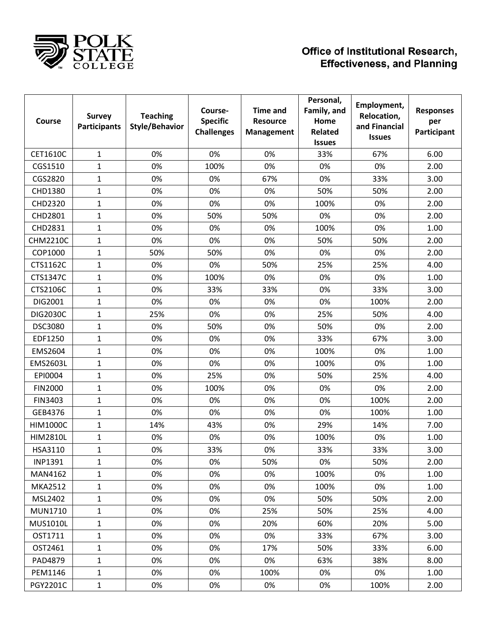

| Course          | <b>Survey</b><br><b>Participants</b> | <b>Teaching</b><br><b>Style/Behavior</b> | Course-<br><b>Specific</b><br><b>Challenges</b> | <b>Time and</b><br><b>Resource</b><br><b>Management</b> | Personal,<br>Family, and<br>Home<br><b>Related</b><br><b>Issues</b> | Employment,<br>Relocation,<br>and Financial<br><b>Issues</b> | <b>Responses</b><br>per<br>Participant |
|-----------------|--------------------------------------|------------------------------------------|-------------------------------------------------|---------------------------------------------------------|---------------------------------------------------------------------|--------------------------------------------------------------|----------------------------------------|
| CET1610C        | 1                                    | 0%                                       | 0%                                              | 0%                                                      | 33%                                                                 | 67%                                                          | 6.00                                   |
| CGS1510         | $\mathbf{1}$                         | 0%                                       | 100%                                            | 0%                                                      | 0%                                                                  | 0%                                                           | 2.00                                   |
| CGS2820         | 1                                    | 0%                                       | 0%                                              | 67%                                                     | 0%                                                                  | 33%                                                          | 3.00                                   |
| CHD1380         | 1                                    | 0%                                       | 0%                                              | 0%                                                      | 50%                                                                 | 50%                                                          | 2.00                                   |
| CHD2320         | $\mathbf{1}$                         | 0%                                       | 0%                                              | 0%                                                      | 100%                                                                | 0%                                                           | 2.00                                   |
| CHD2801         | $\mathbf{1}$                         | 0%                                       | 50%                                             | 50%                                                     | 0%                                                                  | 0%                                                           | 2.00                                   |
| CHD2831         | 1                                    | 0%                                       | 0%                                              | 0%                                                      | 100%                                                                | 0%                                                           | 1.00                                   |
| <b>CHM2210C</b> | $\mathbf{1}$                         | 0%                                       | 0%                                              | 0%                                                      | 50%                                                                 | 50%                                                          | 2.00                                   |
| COP1000         | $\mathbf{1}$                         | 50%                                      | 50%                                             | 0%                                                      | 0%                                                                  | 0%                                                           | 2.00                                   |
| CTS1162C        | 1                                    | 0%                                       | 0%                                              | 50%                                                     | 25%                                                                 | 25%                                                          | 4.00                                   |
| CTS1347C        | $\mathbf{1}$                         | 0%                                       | 100%                                            | 0%                                                      | 0%                                                                  | 0%                                                           | 1.00                                   |
| CTS2106C        | 1                                    | 0%                                       | 33%                                             | 33%                                                     | 0%                                                                  | 33%                                                          | 3.00                                   |
| DIG2001         | 1                                    | 0%                                       | 0%                                              | 0%                                                      | 0%                                                                  | 100%                                                         | 2.00                                   |
| <b>DIG2030C</b> | $\mathbf{1}$                         | 25%                                      | 0%                                              | 0%                                                      | 25%                                                                 | 50%                                                          | 4.00                                   |
| DSC3080         | $\mathbf{1}$                         | 0%                                       | 50%                                             | 0%                                                      | 50%                                                                 | 0%                                                           | 2.00                                   |
| EDF1250         | 1                                    | 0%                                       | 0%                                              | 0%                                                      | 33%                                                                 | 67%                                                          | 3.00                                   |
| EMS2604         | 1                                    | 0%                                       | 0%                                              | 0%                                                      | 100%                                                                | 0%                                                           | 1.00                                   |
| <b>EMS2603L</b> | $\mathbf{1}$                         | 0%                                       | 0%                                              | 0%                                                      | 100%                                                                | 0%                                                           | 1.00                                   |
| EPI0004         | 1                                    | 0%                                       | 25%                                             | 0%                                                      | 50%                                                                 | 25%                                                          | 4.00                                   |
| <b>FIN2000</b>  | 1                                    | 0%                                       | 100%                                            | 0%                                                      | 0%                                                                  | 0%                                                           | 2.00                                   |
| FIN3403         | $\mathbf{1}$                         | 0%                                       | 0%                                              | 0%                                                      | 0%                                                                  | 100%                                                         | 2.00                                   |
| GEB4376         | 1                                    | 0%                                       | 0%                                              | 0%                                                      | 0%                                                                  | 100%                                                         | 1.00                                   |
| <b>HIM1000C</b> | $\mathbf{1}$                         | 14%                                      | 43%                                             | 0%                                                      | 29%                                                                 | 14%                                                          | 7.00                                   |
| <b>HIM2810L</b> | 1                                    | 0%                                       | 0%                                              | 0%                                                      | 100%                                                                | 0%                                                           | 1.00                                   |
| HSA3110         | 1                                    | 0%                                       | 33%                                             | 0%                                                      | 33%                                                                 | 33%                                                          | 3.00                                   |
| <b>INP1391</b>  | $\mathbf{1}$                         | 0%                                       | 0%                                              | 50%                                                     | 0%                                                                  | 50%                                                          | 2.00                                   |
| MAN4162         | $\mathbf{1}$                         | 0%                                       | 0%                                              | 0%                                                      | 100%                                                                | 0%                                                           | 1.00                                   |
| <b>MKA2512</b>  | $\mathbf{1}$                         | 0%                                       | 0%                                              | 0%                                                      | 100%                                                                | 0%                                                           | 1.00                                   |
| MSL2402         | $\mathbf{1}$                         | 0%                                       | 0%                                              | 0%                                                      | 50%                                                                 | 50%                                                          | 2.00                                   |
| <b>MUN1710</b>  | $\mathbf{1}$                         | 0%                                       | 0%                                              | 25%                                                     | 50%                                                                 | 25%                                                          | 4.00                                   |
| <b>MUS1010L</b> | $\mathbf{1}$                         | 0%                                       | 0%                                              | 20%                                                     | 60%                                                                 | 20%                                                          | 5.00                                   |
| OST1711         | $\mathbf{1}$                         | 0%                                       | 0%                                              | 0%                                                      | 33%                                                                 | 67%                                                          | 3.00                                   |
| OST2461         | $\mathbf{1}$                         | 0%                                       | 0%                                              | 17%                                                     | 50%                                                                 | 33%                                                          | 6.00                                   |
| PAD4879         | $\mathbf{1}$                         | 0%                                       | 0%                                              | 0%                                                      | 63%                                                                 | 38%                                                          | 8.00                                   |
| PEM1146         | $\mathbf{1}$                         | 0%                                       | 0%                                              | 100%                                                    | 0%                                                                  | 0%                                                           | 1.00                                   |
| <b>PGY2201C</b> | $\mathbf{1}$                         | 0%                                       | 0%                                              | 0%                                                      | 0%                                                                  | 100%                                                         | 2.00                                   |